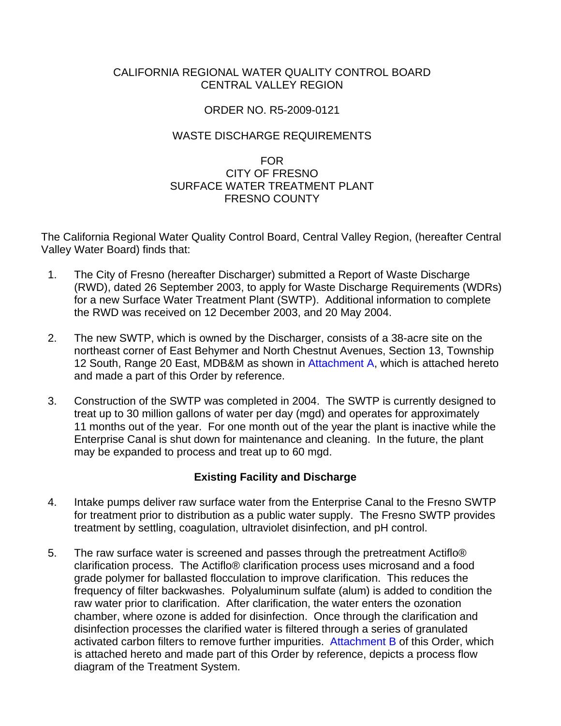## CALIFORNIA REGIONAL WATER QUALITY CONTROL BOARD CENTRAL VALLEY REGION

### ORDER NO. R5-2009-0121

## WASTE DISCHARGE REQUIREMENTS

## FOR CITY OF FRESNO SURFACE WATER TREATMENT PLANT FRESNO COUNTY

The California Regional Water Quality Control Board, Central Valley Region, (hereafter Central Valley Water Board) finds that:

- 1. The City of Fresno (hereafter Discharger) submitted a Report of Waste Discharge (RWD), dated 26 September 2003, to apply for Waste Discharge Requirements (WDRs) for a new Surface Water Treatment Plant (SWTP). Additional information to complete the RWD was received on 12 December 2003, and 20 May 2004.
- 2. The new SWTP, which is owned by the Discharger, consists of a 38-acre site on the northeast corner of East Behymer and North Chestnut Avenues, Section 13, Township 12 South, Range 20 East, MDB&M as shown in Attachment A, which is attached hereto and made a part of this Order by reference.
- 3. Construction of the SWTP was completed in 2004. The SWTP is currently designed to treat up to 30 million gallons of water per day (mgd) and operates for approximately 11 months out of the year. For one month out of the year the plant is inactive while the Enterprise Canal is shut down for maintenance and cleaning. In the future, the plant may be expanded to process and treat up to 60 mgd.

## **Existing Facility and Discharge**

- 4. Intake pumps deliver raw surface water from the Enterprise Canal to the Fresno SWTP for treatment prior to distribution as a public water supply. The Fresno SWTP provides treatment by settling, coagulation, ultraviolet disinfection, and pH control.
- 5. The raw surface water is screened and passes through the pretreatment Actiflo® clarification process. The Actiflo® clarification process uses microsand and a food grade polymer for ballasted flocculation to improve clarification. This reduces the frequency of filter backwashes. Polyaluminum sulfate (alum) is added to condition the raw water prior to clarification. After clarification, the water enters the ozonation chamber, where ozone is added for disinfection. Once through the clarification and disinfection processes the clarified water is filtered through a series of granulated activated carbon filters to remove further impurities. Attachment B of this Order, which is attached hereto and made part of this Order by reference, depicts a process flow diagram of the Treatment System.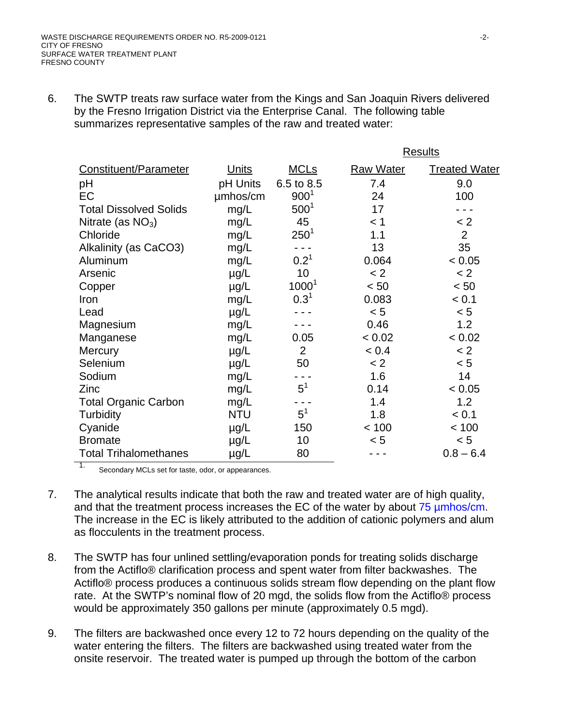6. The SWTP treats raw surface water from the Kings and San Joaquin Rivers delivered by the Fresno Irrigation District via the Enterprise Canal. The following table summarizes representative samples of the raw and treated water:

|                               |              |                  | <b>Results</b>   |                      |
|-------------------------------|--------------|------------------|------------------|----------------------|
| Constituent/Parameter         | <u>Units</u> | <b>MCLs</b>      | <b>Raw Water</b> | <b>Treated Water</b> |
| pH                            | pH Units     | 6.5 to 8.5       | 7.4              | 9.0                  |
| EC                            | umhos/cm     | 900 <sup>1</sup> | 24               | 100                  |
| <b>Total Dissolved Solids</b> | mg/L         | $500^1$          | 17               |                      |
| Nitrate (as $NO3$ )           | mg/L         | 45               | < 1              | < 2                  |
| Chloride                      | mg/L         | $250^1$          | 1.1              | $\overline{2}$       |
| Alkalinity (as CaCO3)         | mg/L         |                  | 13               | 35                   |
| Aluminum                      | mg/L         | $0.2^{1}$        | 0.064            | < 0.05               |
| Arsenic                       | $\mu$ g/L    | 10               | < 2              | < 2                  |
| Copper                        | $\mu$ g/L    | $1000^1$         | < 50             | < 50                 |
| Iron                          | mg/L         | 0.3 <sup>1</sup> | 0.083            | < 0.1                |
| Lead                          | $\mu$ g/L    |                  | < 5              | < 5                  |
| Magnesium                     | mg/L         |                  | 0.46             | 1.2                  |
| Manganese                     | mg/L         | 0.05             | < 0.02           | < 0.02               |
| <b>Mercury</b>                | $\mu$ g/L    | 2                | < 0.4            | < 2                  |
| Selenium                      | $\mu$ g/L    | 50               | < 2              | < 5                  |
| Sodium                        | mg/L         |                  | 1.6              | 14                   |
| Zinc                          | mg/L         | $5^1$            | 0.14             | < 0.05               |
| <b>Total Organic Carbon</b>   | mg/L         |                  | 1.4              | 1.2                  |
| <b>Turbidity</b>              | <b>NTU</b>   | $5^1$            | 1.8              | < 0.1                |
| Cyanide                       | $\mu$ g/L    | 150              | < 100            | < 100                |
| <b>Bromate</b>                | $\mu$ g/L    | 10               | < 5              | < 5                  |
| <b>Total Trihalomethanes</b>  | µg/L         | 80               |                  | $0.8 - 6.4$          |

1. Secondary MCLs set for taste, odor, or appearances.

- 7. The analytical results indicate that both the raw and treated water are of high quality, and that the treatment process increases the EC of the water by about 75 µmhos/cm. The increase in the EC is likely attributed to the addition of cationic polymers and alum as flocculents in the treatment process.
- 8. The SWTP has four unlined settling/evaporation ponds for treating solids discharge from the Actiflo® clarification process and spent water from filter backwashes. The Actiflo® process produces a continuous solids stream flow depending on the plant flow rate. At the SWTP's nominal flow of 20 mgd, the solids flow from the Actiflo® process would be approximately 350 gallons per minute (approximately 0.5 mgd).
- 9. The filters are backwashed once every 12 to 72 hours depending on the quality of the water entering the filters. The filters are backwashed using treated water from the onsite reservoir. The treated water is pumped up through the bottom of the carbon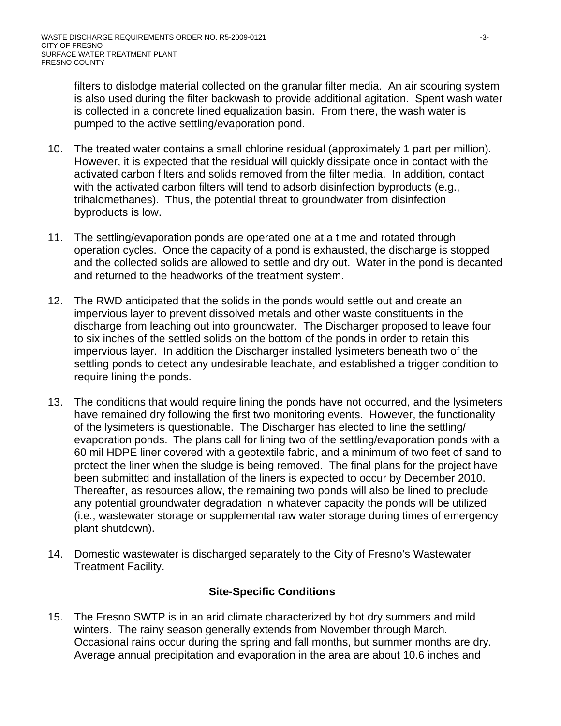filters to dislodge material collected on the granular filter media. An air scouring system is also used during the filter backwash to provide additional agitation. Spent wash water is collected in a concrete lined equalization basin. From there, the wash water is pumped to the active settling/evaporation pond.

- 10. The treated water contains a small chlorine residual (approximately 1 part per million). However, it is expected that the residual will quickly dissipate once in contact with the activated carbon filters and solids removed from the filter media. In addition, contact with the activated carbon filters will tend to adsorb disinfection byproducts (e.g., trihalomethanes). Thus, the potential threat to groundwater from disinfection byproducts is low.
- 11. The settling/evaporation ponds are operated one at a time and rotated through operation cycles. Once the capacity of a pond is exhausted, the discharge is stopped and the collected solids are allowed to settle and dry out. Water in the pond is decanted and returned to the headworks of the treatment system.
- 12. The RWD anticipated that the solids in the ponds would settle out and create an impervious layer to prevent dissolved metals and other waste constituents in the discharge from leaching out into groundwater. The Discharger proposed to leave four to six inches of the settled solids on the bottom of the ponds in order to retain this impervious layer. In addition the Discharger installed lysimeters beneath two of the settling ponds to detect any undesirable leachate, and established a trigger condition to require lining the ponds.
- 13. The conditions that would require lining the ponds have not occurred, and the lysimeters have remained dry following the first two monitoring events. However, the functionality of the lysimeters is questionable. The Discharger has elected to line the settling/ evaporation ponds. The plans call for lining two of the settling/evaporation ponds with a 60 mil HDPE liner covered with a geotextile fabric, and a minimum of two feet of sand to protect the liner when the sludge is being removed. The final plans for the project have been submitted and installation of the liners is expected to occur by December 2010. Thereafter, as resources allow, the remaining two ponds will also be lined to preclude any potential groundwater degradation in whatever capacity the ponds will be utilized (i.e., wastewater storage or supplemental raw water storage during times of emergency plant shutdown).
- 14. Domestic wastewater is discharged separately to the City of Fresno's Wastewater Treatment Facility.

# **Site-Specific Conditions**

15. The Fresno SWTP is in an arid climate characterized by hot dry summers and mild winters. The rainy season generally extends from November through March. Occasional rains occur during the spring and fall months, but summer months are dry. Average annual precipitation and evaporation in the area are about 10.6 inches and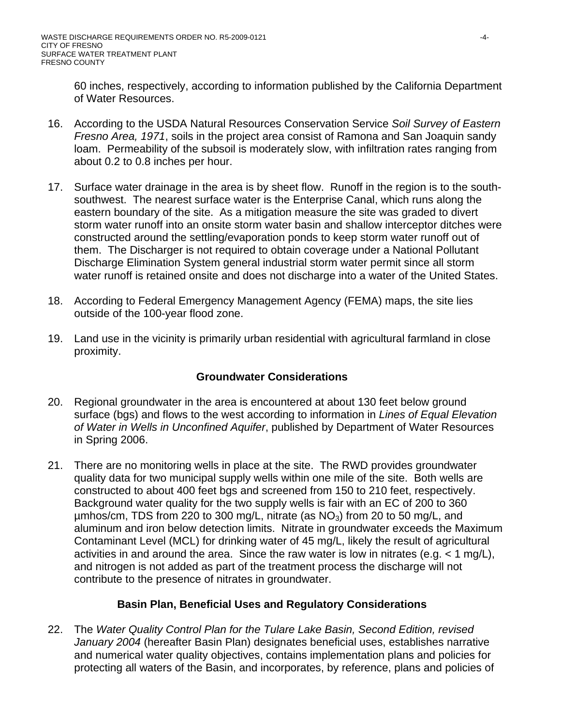60 inches, respectively, according to information published by the California Department of Water Resources.

- 16. According to the USDA Natural Resources Conservation Service *Soil Survey of Eastern Fresno Area, 1971*, soils in the project area consist of Ramona and San Joaquin sandy loam. Permeability of the subsoil is moderately slow, with infiltration rates ranging from about 0.2 to 0.8 inches per hour.
- 17. Surface water drainage in the area is by sheet flow. Runoff in the region is to the southsouthwest. The nearest surface water is the Enterprise Canal, which runs along the eastern boundary of the site. As a mitigation measure the site was graded to divert storm water runoff into an onsite storm water basin and shallow interceptor ditches were constructed around the settling/evaporation ponds to keep storm water runoff out of them. The Discharger is not required to obtain coverage under a National Pollutant Discharge Elimination System general industrial storm water permit since all storm water runoff is retained onsite and does not discharge into a water of the United States.
- 18. According to Federal Emergency Management Agency (FEMA) maps, the site lies outside of the 100-year flood zone.
- 19. Land use in the vicinity is primarily urban residential with agricultural farmland in close proximity.

# **Groundwater Considerations**

- 20. Regional groundwater in the area is encountered at about 130 feet below ground surface (bgs) and flows to the west according to information in *Lines of Equal Elevation of Water in Wells in Unconfined Aquifer*, published by Department of Water Resources in Spring 2006.
- 21. There are no monitoring wells in place at the site. The RWD provides groundwater quality data for two municipal supply wells within one mile of the site. Both wells are constructed to about 400 feet bgs and screened from 150 to 210 feet, respectively. Background water quality for the two supply wells is fair with an EC of 200 to 360  $\mu$ mhos/cm, TDS from 220 to 300 mg/L, nitrate (as NO<sub>3</sub>) from 20 to 50 mg/L, and aluminum and iron below detection limits. Nitrate in groundwater exceeds the Maximum Contaminant Level (MCL) for drinking water of 45 mg/L, likely the result of agricultural activities in and around the area. Since the raw water is low in nitrates (e.g. < 1 mg/L), and nitrogen is not added as part of the treatment process the discharge will not contribute to the presence of nitrates in groundwater.

# **Basin Plan, Beneficial Uses and Regulatory Considerations**

22. The *Water Quality Control Plan for the Tulare Lake Basin, Second Edition, revised January 2004* (hereafter Basin Plan) designates beneficial uses, establishes narrative and numerical water quality objectives, contains implementation plans and policies for protecting all waters of the Basin, and incorporates, by reference, plans and policies of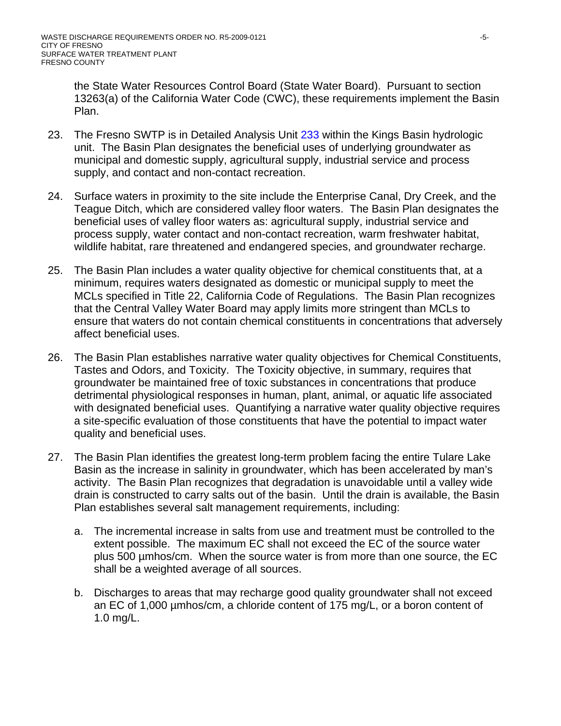the State Water Resources Control Board (State Water Board). Pursuant to section 13263(a) of the California Water Code (CWC), these requirements implement the Basin Plan.

- 23. The Fresno SWTP is in Detailed Analysis Unit 233 within the Kings Basin hydrologic unit. The Basin Plan designates the beneficial uses of underlying groundwater as municipal and domestic supply, agricultural supply, industrial service and process supply, and contact and non-contact recreation.
- 24. Surface waters in proximity to the site include the Enterprise Canal, Dry Creek, and the Teague Ditch, which are considered valley floor waters. The Basin Plan designates the beneficial uses of valley floor waters as: agricultural supply, industrial service and process supply, water contact and non-contact recreation, warm freshwater habitat, wildlife habitat, rare threatened and endangered species, and groundwater recharge.
- 25. The Basin Plan includes a water quality objective for chemical constituents that, at a minimum, requires waters designated as domestic or municipal supply to meet the MCLs specified in Title 22, California Code of Regulations. The Basin Plan recognizes that the Central Valley Water Board may apply limits more stringent than MCLs to ensure that waters do not contain chemical constituents in concentrations that adversely affect beneficial uses.
- 26. The Basin Plan establishes narrative water quality objectives for Chemical Constituents, Tastes and Odors, and Toxicity. The Toxicity objective, in summary, requires that groundwater be maintained free of toxic substances in concentrations that produce detrimental physiological responses in human, plant, animal, or aquatic life associated with designated beneficial uses. Quantifying a narrative water quality objective requires a site-specific evaluation of those constituents that have the potential to impact water quality and beneficial uses.
- 27. The Basin Plan identifies the greatest long-term problem facing the entire Tulare Lake Basin as the increase in salinity in groundwater, which has been accelerated by man's activity. The Basin Plan recognizes that degradation is unavoidable until a valley wide drain is constructed to carry salts out of the basin. Until the drain is available, the Basin Plan establishes several salt management requirements, including:
	- a. The incremental increase in salts from use and treatment must be controlled to the extent possible. The maximum EC shall not exceed the EC of the source water plus 500 µmhos/cm. When the source water is from more than one source, the EC shall be a weighted average of all sources.
	- b. Discharges to areas that may recharge good quality groundwater shall not exceed an EC of 1,000 µmhos/cm, a chloride content of 175 mg/L, or a boron content of 1.0 mg/L.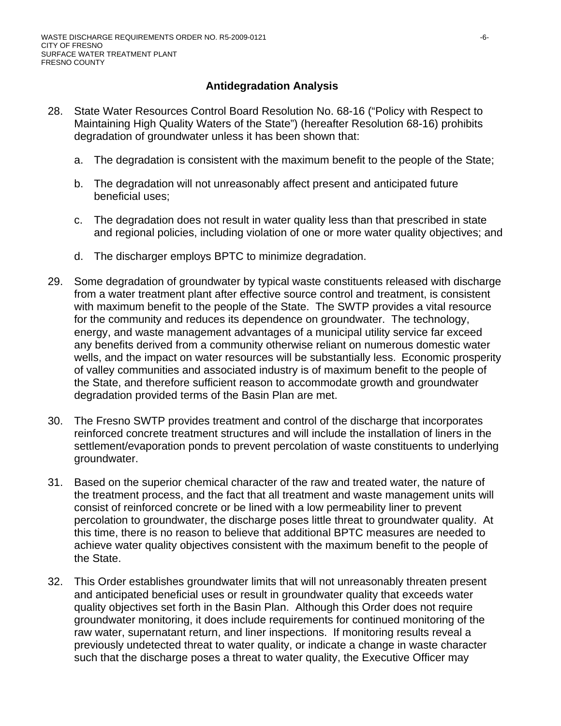# **Antidegradation Analysis**

- 28. State Water Resources Control Board Resolution No. 68-16 ("Policy with Respect to Maintaining High Quality Waters of the State") (hereafter Resolution 68-16) prohibits degradation of groundwater unless it has been shown that:
	- a. The degradation is consistent with the maximum benefit to the people of the State;
	- b. The degradation will not unreasonably affect present and anticipated future beneficial uses;
	- c. The degradation does not result in water quality less than that prescribed in state and regional policies, including violation of one or more water quality objectives; and
	- d. The discharger employs BPTC to minimize degradation.
- 29. Some degradation of groundwater by typical waste constituents released with discharge from a water treatment plant after effective source control and treatment, is consistent with maximum benefit to the people of the State. The SWTP provides a vital resource for the community and reduces its dependence on groundwater. The technology, energy, and waste management advantages of a municipal utility service far exceed any benefits derived from a community otherwise reliant on numerous domestic water wells, and the impact on water resources will be substantially less. Economic prosperity of valley communities and associated industry is of maximum benefit to the people of the State, and therefore sufficient reason to accommodate growth and groundwater degradation provided terms of the Basin Plan are met.
- 30. The Fresno SWTP provides treatment and control of the discharge that incorporates reinforced concrete treatment structures and will include the installation of liners in the settlement/evaporation ponds to prevent percolation of waste constituents to underlying groundwater.
- 31. Based on the superior chemical character of the raw and treated water, the nature of the treatment process, and the fact that all treatment and waste management units will consist of reinforced concrete or be lined with a low permeability liner to prevent percolation to groundwater, the discharge poses little threat to groundwater quality. At this time, there is no reason to believe that additional BPTC measures are needed to achieve water quality objectives consistent with the maximum benefit to the people of the State.
- 32. This Order establishes groundwater limits that will not unreasonably threaten present and anticipated beneficial uses or result in groundwater quality that exceeds water quality objectives set forth in the Basin Plan. Although this Order does not require groundwater monitoring, it does include requirements for continued monitoring of the raw water, supernatant return, and liner inspections. If monitoring results reveal a previously undetected threat to water quality, or indicate a change in waste character such that the discharge poses a threat to water quality, the Executive Officer may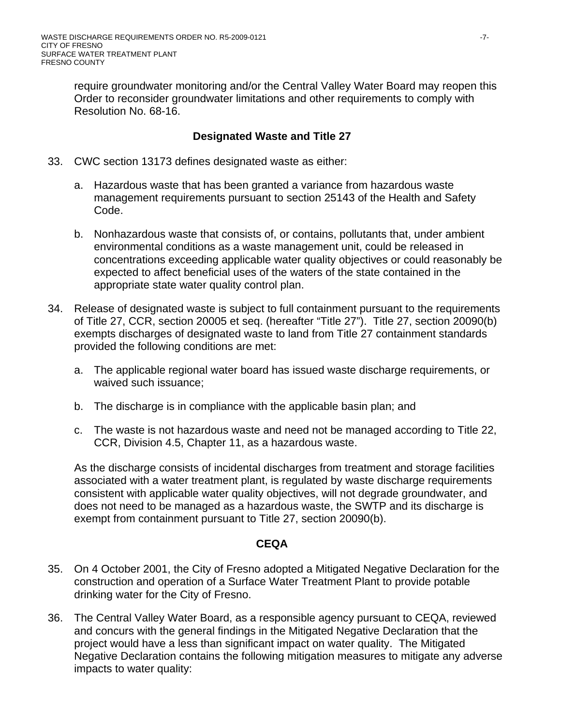require groundwater monitoring and/or the Central Valley Water Board may reopen this Order to reconsider groundwater limitations and other requirements to comply with Resolution No. 68-16.

### **Designated Waste and Title 27**

- 33. CWC section 13173 defines designated waste as either:
	- a. Hazardous waste that has been granted a variance from hazardous waste management requirements pursuant to section 25143 of the Health and Safety Code.
	- b. Nonhazardous waste that consists of, or contains, pollutants that, under ambient environmental conditions as a waste management unit, could be released in concentrations exceeding applicable water quality objectives or could reasonably be expected to affect beneficial uses of the waters of the state contained in the appropriate state water quality control plan.
- 34. Release of designated waste is subject to full containment pursuant to the requirements of Title 27, CCR, section 20005 et seq. (hereafter "Title 27"). Title 27, section 20090(b) exempts discharges of designated waste to land from Title 27 containment standards provided the following conditions are met:
	- a. The applicable regional water board has issued waste discharge requirements, or waived such issuance;
	- b. The discharge is in compliance with the applicable basin plan; and
	- c. The waste is not hazardous waste and need not be managed according to Title 22, CCR, Division 4.5, Chapter 11, as a hazardous waste.

As the discharge consists of incidental discharges from treatment and storage facilities associated with a water treatment plant, is regulated by waste discharge requirements consistent with applicable water quality objectives, will not degrade groundwater, and does not need to be managed as a hazardous waste, the SWTP and its discharge is exempt from containment pursuant to Title 27, section 20090(b).

### **CEQA**

- 35. On 4 October 2001, the City of Fresno adopted a Mitigated Negative Declaration for the construction and operation of a Surface Water Treatment Plant to provide potable drinking water for the City of Fresno.
- 36. The Central Valley Water Board, as a responsible agency pursuant to CEQA, reviewed and concurs with the general findings in the Mitigated Negative Declaration that the project would have a less than significant impact on water quality. The Mitigated Negative Declaration contains the following mitigation measures to mitigate any adverse impacts to water quality: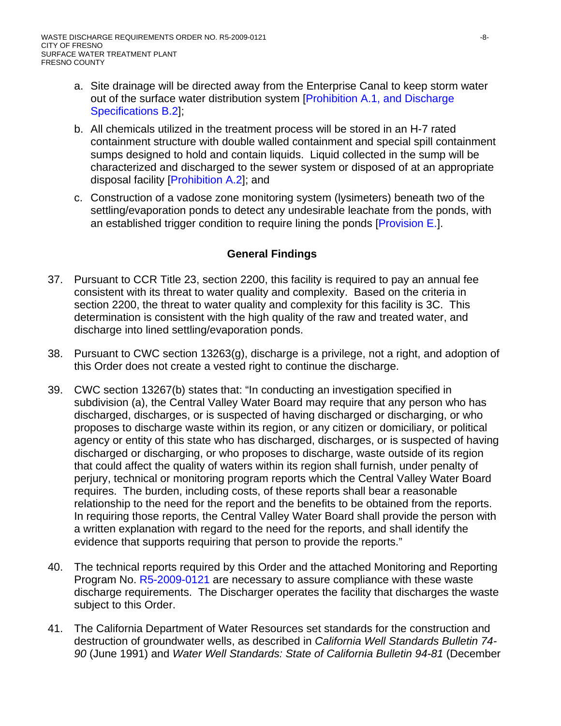- a. Site drainage will be directed away from the Enterprise Canal to keep storm water out of the surface water distribution system [Prohibition A.1, and Discharge Specifications B.2];
- b. All chemicals utilized in the treatment process will be stored in an H-7 rated containment structure with double walled containment and special spill containment sumps designed to hold and contain liquids. Liquid collected in the sump will be characterized and discharged to the sewer system or disposed of at an appropriate disposal facility [Prohibition A.2]; and
- c. Construction of a vadose zone monitoring system (lysimeters) beneath two of the settling/evaporation ponds to detect any undesirable leachate from the ponds, with an established trigger condition to require lining the ponds [Provision E.].

# **General Findings**

- 37. Pursuant to CCR Title 23, section 2200, this facility is required to pay an annual fee consistent with its threat to water quality and complexity. Based on the criteria in section 2200, the threat to water quality and complexity for this facility is 3C. This determination is consistent with the high quality of the raw and treated water, and discharge into lined settling/evaporation ponds.
- 38. Pursuant to CWC section 13263(g), discharge is a privilege, not a right, and adoption of this Order does not create a vested right to continue the discharge.
- 39. CWC section 13267(b) states that: "In conducting an investigation specified in subdivision (a), the Central Valley Water Board may require that any person who has discharged, discharges, or is suspected of having discharged or discharging, or who proposes to discharge waste within its region, or any citizen or domiciliary, or political agency or entity of this state who has discharged, discharges, or is suspected of having discharged or discharging, or who proposes to discharge, waste outside of its region that could affect the quality of waters within its region shall furnish, under penalty of perjury, technical or monitoring program reports which the Central Valley Water Board requires. The burden, including costs, of these reports shall bear a reasonable relationship to the need for the report and the benefits to be obtained from the reports. In requiring those reports, the Central Valley Water Board shall provide the person with a written explanation with regard to the need for the reports, and shall identify the evidence that supports requiring that person to provide the reports."
- 40. The technical reports required by this Order and the attached Monitoring and Reporting Program No. R5-2009-0121 are necessary to assure compliance with these waste discharge requirements. The Discharger operates the facility that discharges the waste subject to this Order.
- 41. The California Department of Water Resources set standards for the construction and destruction of groundwater wells, as described in *California Well Standards Bulletin 74- 90* (June 1991) and *Water Well Standards: State of California Bulletin 94-81* (December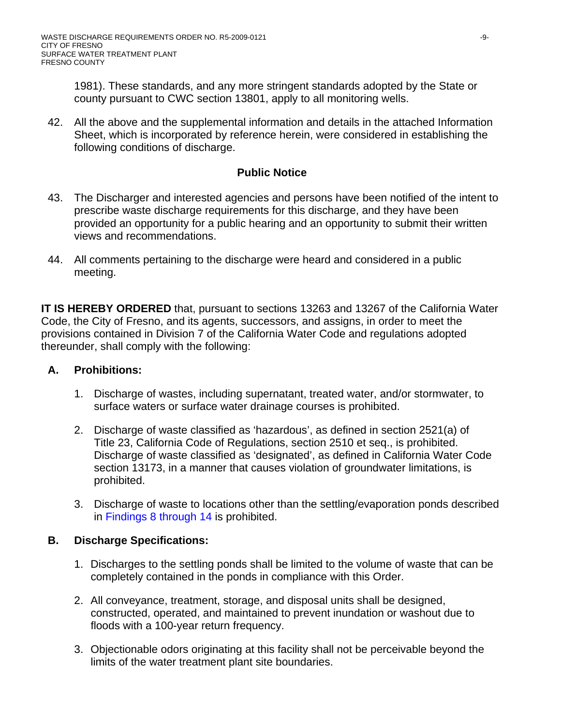1981). These standards, and any more stringent standards adopted by the State or county pursuant to CWC section 13801, apply to all monitoring wells.

42. All the above and the supplemental information and details in the attached Information Sheet, which is incorporated by reference herein, were considered in establishing the following conditions of discharge.

# **Public Notice**

- 43. The Discharger and interested agencies and persons have been notified of the intent to prescribe waste discharge requirements for this discharge, and they have been provided an opportunity for a public hearing and an opportunity to submit their written views and recommendations.
- 44. All comments pertaining to the discharge were heard and considered in a public meeting.

**IT IS HEREBY ORDERED** that, pursuant to sections 13263 and 13267 of the California Water Code, the City of Fresno, and its agents, successors, and assigns, in order to meet the provisions contained in Division 7 of the California Water Code and regulations adopted thereunder, shall comply with the following:

## **A. Prohibitions:**

- 1. Discharge of wastes, including supernatant, treated water, and/or stormwater, to surface waters or surface water drainage courses is prohibited.
- 2. Discharge of waste classified as 'hazardous', as defined in section 2521(a) of Title 23, California Code of Regulations, section 2510 et seq., is prohibited. Discharge of waste classified as 'designated', as defined in California Water Code section 13173, in a manner that causes violation of groundwater limitations, is prohibited.
- 3. Discharge of waste to locations other than the settling/evaporation ponds described in Findings 8 through 14 is prohibited.

# **B. Discharge Specifications:**

- 1. Discharges to the settling ponds shall be limited to the volume of waste that can be completely contained in the ponds in compliance with this Order.
- 2. All conveyance, treatment, storage, and disposal units shall be designed, constructed, operated, and maintained to prevent inundation or washout due to floods with a 100-year return frequency.
- 3. Objectionable odors originating at this facility shall not be perceivable beyond the limits of the water treatment plant site boundaries.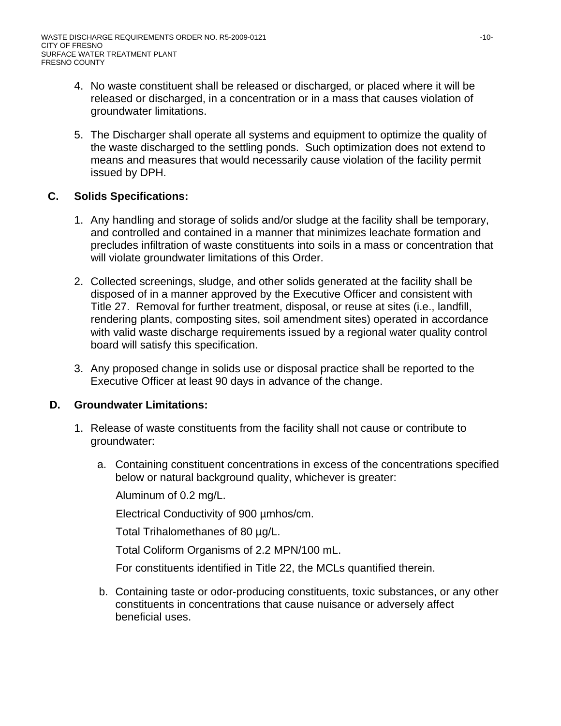- 4. No waste constituent shall be released or discharged, or placed where it will be released or discharged, in a concentration or in a mass that causes violation of groundwater limitations.
- 5. The Discharger shall operate all systems and equipment to optimize the quality of the waste discharged to the settling ponds. Such optimization does not extend to means and measures that would necessarily cause violation of the facility permit issued by DPH.

# **C. Solids Specifications:**

- 1. Any handling and storage of solids and/or sludge at the facility shall be temporary, and controlled and contained in a manner that minimizes leachate formation and precludes infiltration of waste constituents into soils in a mass or concentration that will violate groundwater limitations of this Order.
- 2. Collected screenings, sludge, and other solids generated at the facility shall be disposed of in a manner approved by the Executive Officer and consistent with Title 27. Removal for further treatment, disposal, or reuse at sites (i.e., landfill, rendering plants, composting sites, soil amendment sites) operated in accordance with valid waste discharge requirements issued by a regional water quality control board will satisfy this specification.
- 3. Any proposed change in solids use or disposal practice shall be reported to the Executive Officer at least 90 days in advance of the change.

## **D. Groundwater Limitations:**

- 1. Release of waste constituents from the facility shall not cause or contribute to groundwater:
	- a. Containing constituent concentrations in excess of the concentrations specified below or natural background quality, whichever is greater:

Aluminum of 0.2 mg/L.

Electrical Conductivity of 900 µmhos/cm.

Total Trihalomethanes of 80 µg/L.

Total Coliform Organisms of 2.2 MPN/100 mL.

For constituents identified in Title 22, the MCLs quantified therein.

b. Containing taste or odor-producing constituents, toxic substances, or any other constituents in concentrations that cause nuisance or adversely affect beneficial uses.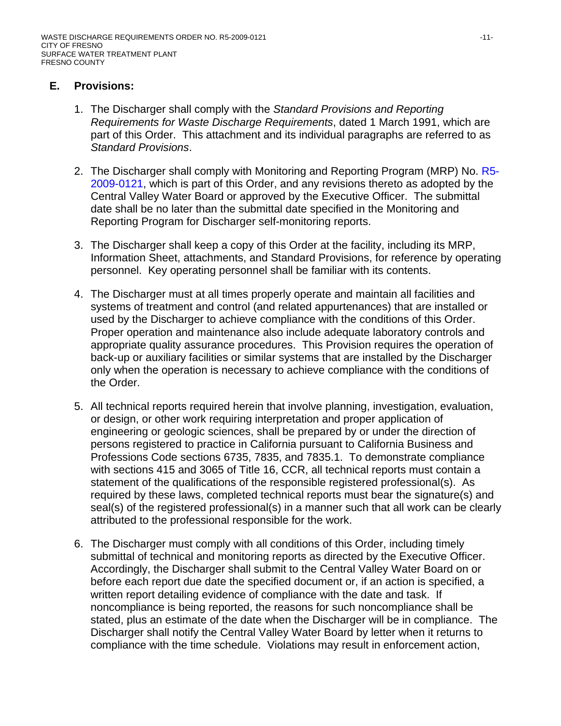## **E. Provisions:**

- 1. The Discharger shall comply with the *Standard Provisions and Reporting Requirements for Waste Discharge Requirements*, dated 1 March 1991, which are part of this Order. This attachment and its individual paragraphs are referred to as *Standard Provisions*.
- 2. The Discharger shall comply with Monitoring and Reporting Program (MRP) No. R5-2009-0121, which is part of this Order, and any revisions thereto as adopted by the Central Valley Water Board or approved by the Executive Officer. The submittal date shall be no later than the submittal date specified in the Monitoring and Reporting Program for Discharger self-monitoring reports.
- 3. The Discharger shall keep a copy of this Order at the facility, including its MRP, Information Sheet, attachments, and Standard Provisions, for reference by operating personnel. Key operating personnel shall be familiar with its contents.
- 4. The Discharger must at all times properly operate and maintain all facilities and systems of treatment and control (and related appurtenances) that are installed or used by the Discharger to achieve compliance with the conditions of this Order. Proper operation and maintenance also include adequate laboratory controls and appropriate quality assurance procedures. This Provision requires the operation of back-up or auxiliary facilities or similar systems that are installed by the Discharger only when the operation is necessary to achieve compliance with the conditions of the Order.
- 5. All technical reports required herein that involve planning, investigation, evaluation, or design, or other work requiring interpretation and proper application of engineering or geologic sciences, shall be prepared by or under the direction of persons registered to practice in California pursuant to California Business and Professions Code sections 6735, 7835, and 7835.1. To demonstrate compliance with sections 415 and 3065 of Title 16, CCR, all technical reports must contain a statement of the qualifications of the responsible registered professional(s). As required by these laws, completed technical reports must bear the signature(s) and seal(s) of the registered professional(s) in a manner such that all work can be clearly attributed to the professional responsible for the work.
- 6. The Discharger must comply with all conditions of this Order, including timely submittal of technical and monitoring reports as directed by the Executive Officer. Accordingly, the Discharger shall submit to the Central Valley Water Board on or before each report due date the specified document or, if an action is specified, a written report detailing evidence of compliance with the date and task. If noncompliance is being reported, the reasons for such noncompliance shall be stated, plus an estimate of the date when the Discharger will be in compliance. The Discharger shall notify the Central Valley Water Board by letter when it returns to compliance with the time schedule. Violations may result in enforcement action,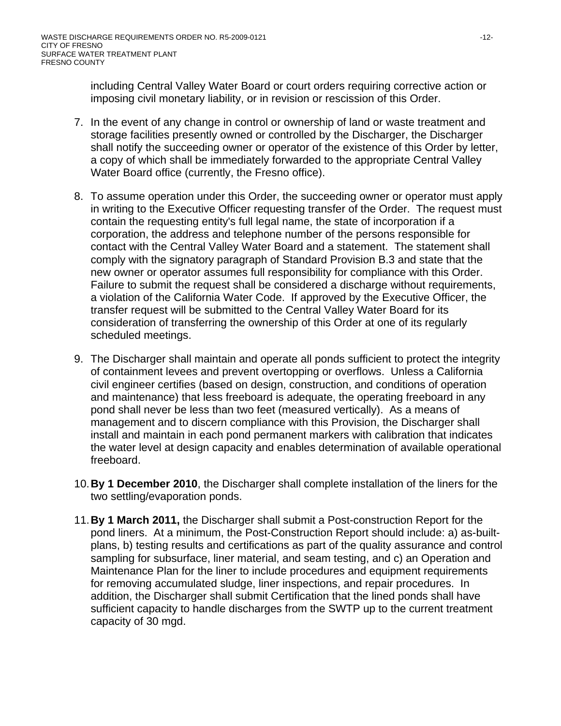including Central Valley Water Board or court orders requiring corrective action or imposing civil monetary liability, or in revision or rescission of this Order.

- 7. In the event of any change in control or ownership of land or waste treatment and storage facilities presently owned or controlled by the Discharger, the Discharger shall notify the succeeding owner or operator of the existence of this Order by letter, a copy of which shall be immediately forwarded to the appropriate Central Valley Water Board office (currently, the Fresno office).
- 8. To assume operation under this Order, the succeeding owner or operator must apply in writing to the Executive Officer requesting transfer of the Order. The request must contain the requesting entity's full legal name, the state of incorporation if a corporation, the address and telephone number of the persons responsible for contact with the Central Valley Water Board and a statement. The statement shall comply with the signatory paragraph of Standard Provision B.3 and state that the new owner or operator assumes full responsibility for compliance with this Order. Failure to submit the request shall be considered a discharge without requirements, a violation of the California Water Code. If approved by the Executive Officer, the transfer request will be submitted to the Central Valley Water Board for its consideration of transferring the ownership of this Order at one of its regularly scheduled meetings.
- 9. The Discharger shall maintain and operate all ponds sufficient to protect the integrity of containment levees and prevent overtopping or overflows. Unless a California civil engineer certifies (based on design, construction, and conditions of operation and maintenance) that less freeboard is adequate, the operating freeboard in any pond shall never be less than two feet (measured vertically). As a means of management and to discern compliance with this Provision, the Discharger shall install and maintain in each pond permanent markers with calibration that indicates the water level at design capacity and enables determination of available operational freeboard.
- 10.**By 1 December 2010**, the Discharger shall complete installation of the liners for the two settling/evaporation ponds.
- 11.**By 1 March 2011,** the Discharger shall submit a Post-construction Report for the pond liners. At a minimum, the Post-Construction Report should include: a) as-builtplans, b) testing results and certifications as part of the quality assurance and control sampling for subsurface, liner material, and seam testing, and c) an Operation and Maintenance Plan for the liner to include procedures and equipment requirements for removing accumulated sludge, liner inspections, and repair procedures. In addition, the Discharger shall submit Certification that the lined ponds shall have sufficient capacity to handle discharges from the SWTP up to the current treatment capacity of 30 mgd.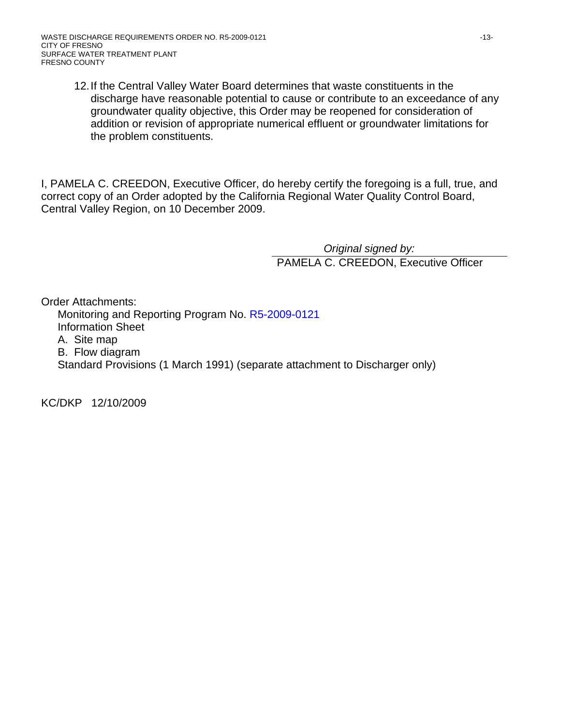12. If the Central Valley Water Board determines that waste constituents in the discharge have reasonable potential to cause or contribute to an exceedance of any groundwater quality objective, this Order may be reopened for consideration of addition or revision of appropriate numerical effluent or groundwater limitations for the problem constituents.

I, PAMELA C. CREEDON, Executive Officer, do hereby certify the foregoing is a full, true, and correct copy of an Order adopted by the California Regional Water Quality Control Board, Central Valley Region, on 10 December 2009.

> *Original signed by:*  PAMELA C. CREEDON, Executive Officer

Order Attachments: Monitoring and Reporting Program No. R5-2009-0121 Information Sheet A. Site map B. Flow diagram Standard Provisions (1 March 1991) (separate attachment to Discharger only)

KC/DKP 12/10/2009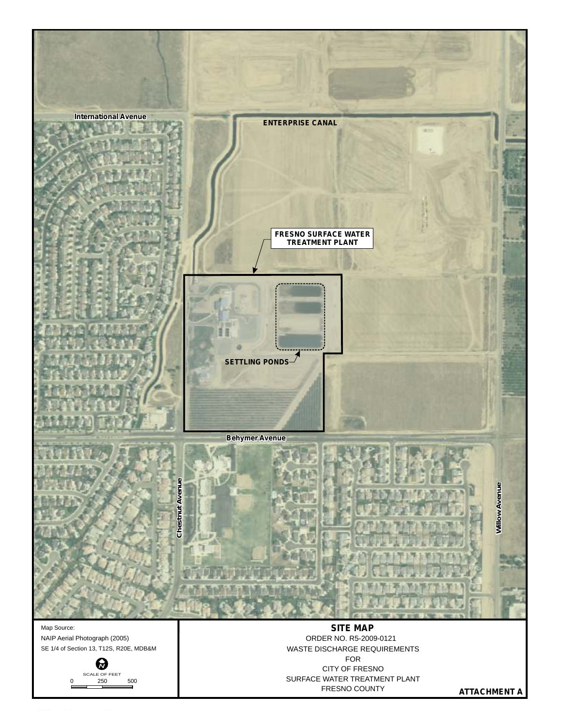

NAIP Aerial Photograph (2005) SE 1/4 of Section 13, T12S, R20E, MDB&M



FOR CITY OF FRESNO SURFACE WATER TREATMENT PLANT FRESNO COUNTY WASTE DISCHARGE REQUIREMENTS ORDER NO. R5-2009-0121

**ATTACHMENT A**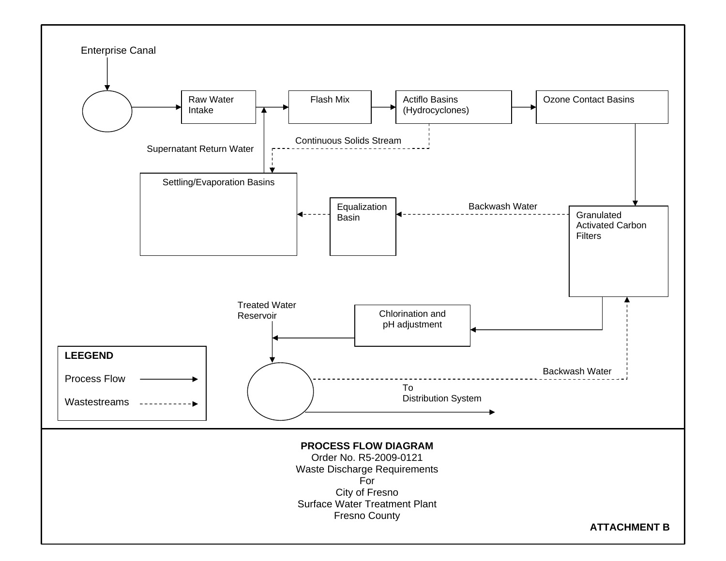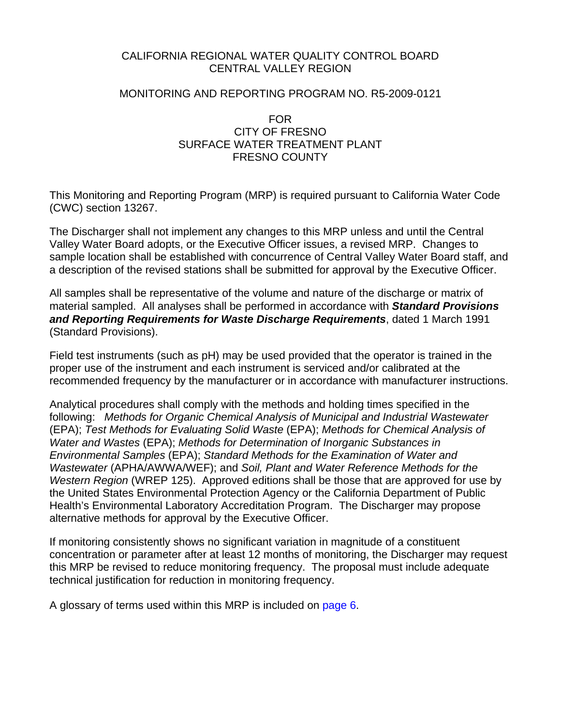## CALIFORNIA REGIONAL WATER QUALITY CONTROL BOARD CENTRAL VALLEY REGION

#### MONITORING AND REPORTING PROGRAM NO. R5-2009-0121

#### FOR CITY OF FRESNO SURFACE WATER TREATMENT PLANT FRESNO COUNTY

This Monitoring and Reporting Program (MRP) is required pursuant to California Water Code (CWC) section 13267.

The Discharger shall not implement any changes to this MRP unless and until the Central Valley Water Board adopts, or the Executive Officer issues, a revised MRP. Changes to sample location shall be established with concurrence of Central Valley Water Board staff, and a description of the revised stations shall be submitted for approval by the Executive Officer.

All samples shall be representative of the volume and nature of the discharge or matrix of material sampled. All analyses shall be performed in accordance with *Standard Provisions and Reporting Requirements for Waste Discharge Requirements*, dated 1 March 1991 (Standard Provisions).

Field test instruments (such as pH) may be used provided that the operator is trained in the proper use of the instrument and each instrument is serviced and/or calibrated at the recommended frequency by the manufacturer or in accordance with manufacturer instructions.

Analytical procedures shall comply with the methods and holding times specified in the following: *Methods for Organic Chemical Analysis of Municipal and Industrial Wastewater* (EPA); *Test Methods for Evaluating Solid Waste* (EPA); *Methods for Chemical Analysis of Water and Wastes* (EPA); *Methods for Determination of Inorganic Substances in Environmental Samples* (EPA); *Standard Methods for the Examination of Water and Wastewater* (APHA/AWWA/WEF); and *Soil, Plant and Water Reference Methods for the Western Region* (WREP 125). Approved editions shall be those that are approved for use by the United States Environmental Protection Agency or the California Department of Public Health's Environmental Laboratory Accreditation Program. The Discharger may propose alternative methods for approval by the Executive Officer.

If monitoring consistently shows no significant variation in magnitude of a constituent concentration or parameter after at least 12 months of monitoring, the Discharger may request this MRP be revised to reduce monitoring frequency. The proposal must include adequate technical justification for reduction in monitoring frequency.

A glossary of terms used within this MRP is included on page 6.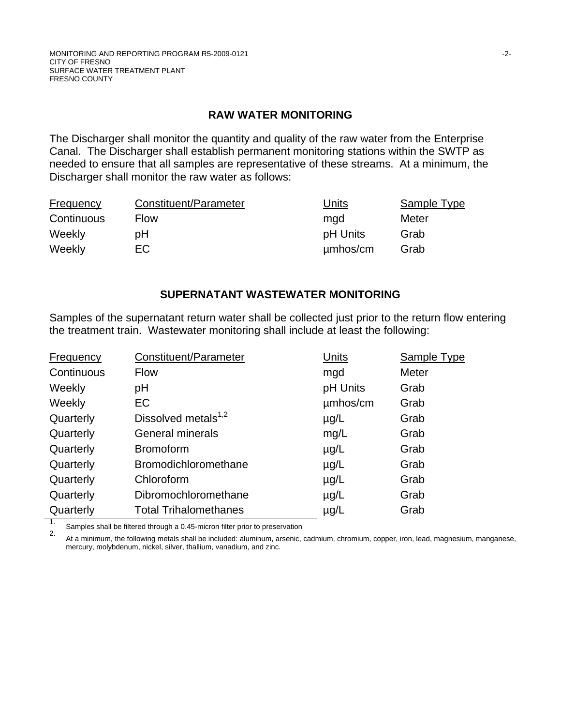#### **RAW WATER MONITORING**

The Discharger shall monitor the quantity and quality of the raw water from the Enterprise Canal. The Discharger shall establish permanent monitoring stations within the SWTP as needed to ensure that all samples are representative of these streams. At a minimum, the Discharger shall monitor the raw water as follows:

| <b>Frequency</b> | Constituent/Parameter | Units    | Sample Type |
|------------------|-----------------------|----------|-------------|
| Continuous       | <b>Flow</b>           | mgd      | Meter       |
| Weekly           | рH                    | pH Units | Grab        |
| Weekly           | EC.                   | µmbos/cm | Grab        |

## **SUPERNATANT WASTEWATER MONITORING**

Samples of the supernatant return water shall be collected just prior to the return flow entering the treatment train. Wastewater monitoring shall include at least the following:

| <b>Frequency</b> | Constituent/Parameter        | Units     | <b>Sample Type</b> |
|------------------|------------------------------|-----------|--------------------|
| Continuous       | <b>Flow</b>                  | mgd       | Meter              |
| Weekly           | pH                           | pH Units  | Grab               |
| Weekly           | EC                           | umhos/cm  | Grab               |
| Quarterly        | Dissolved metals $1,2$       | $\mu$ g/L | Grab               |
| Quarterly        | General minerals             | mg/L      | Grab               |
| Quarterly        | <b>Bromoform</b>             | $\mu$ g/L | Grab               |
| Quarterly        | Bromodichloromethane         | $\mu$ g/L | Grab               |
| Quarterly        | Chloroform                   | $\mu$ g/L | Grab               |
| Quarterly        | Dibromochloromethane         | $\mu$ g/L | Grab               |
| Quarterly        | <b>Total Trihalomethanes</b> | $\mu$ g/L | Grab               |

1. Samples shall be filtered through a 0.45-micron filter prior to preservation

2. At a minimum, the following metals shall be included: aluminum, arsenic, cadmium, chromium, copper, iron, lead, magnesium, manganese, mercury, molybdenum, nickel, silver, thallium, vanadium, and zinc.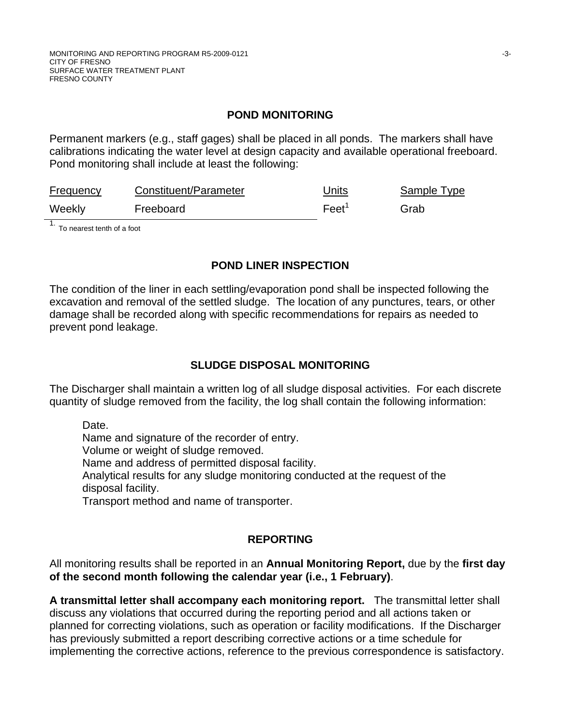## **POND MONITORING**

Permanent markers (e.g., staff gages) shall be placed in all ponds. The markers shall have calibrations indicating the water level at design capacity and available operational freeboard. Pond monitoring shall include at least the following:

| <b>Frequency</b> | Constituent/Parameter | Units           | Sample Type |
|------------------|-----------------------|-----------------|-------------|
| Weekly           | Freeboard             | $\text{Feet}^1$ | Grab        |

1. To nearest tenth of a foot

#### **POND LINER INSPECTION**

The condition of the liner in each settling/evaporation pond shall be inspected following the excavation and removal of the settled sludge. The location of any punctures, tears, or other damage shall be recorded along with specific recommendations for repairs as needed to prevent pond leakage.

## **SLUDGE DISPOSAL MONITORING**

The Discharger shall maintain a written log of all sludge disposal activities. For each discrete quantity of sludge removed from the facility, the log shall contain the following information:

Date.

Name and signature of the recorder of entry.

Volume or weight of sludge removed.

Name and address of permitted disposal facility.

Analytical results for any sludge monitoring conducted at the request of the disposal facility.

Transport method and name of transporter.

# **REPORTING**

All monitoring results shall be reported in an **Annual Monitoring Report,** due by the **first day of the second month following the calendar year (i.e., 1 February)**.

**A transmittal letter shall accompany each monitoring report.** The transmittal letter shall discuss any violations that occurred during the reporting period and all actions taken or planned for correcting violations, such as operation or facility modifications. If the Discharger has previously submitted a report describing corrective actions or a time schedule for implementing the corrective actions, reference to the previous correspondence is satisfactory.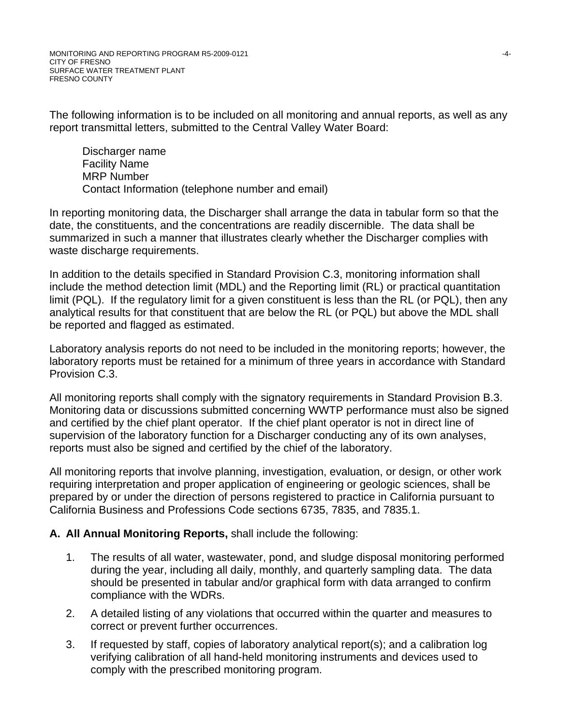The following information is to be included on all monitoring and annual reports, as well as any report transmittal letters, submitted to the Central Valley Water Board:

Discharger name Facility Name MRP Number Contact Information (telephone number and email)

In reporting monitoring data, the Discharger shall arrange the data in tabular form so that the date, the constituents, and the concentrations are readily discernible. The data shall be summarized in such a manner that illustrates clearly whether the Discharger complies with waste discharge requirements.

In addition to the details specified in Standard Provision C.3, monitoring information shall include the method detection limit (MDL) and the Reporting limit (RL) or practical quantitation limit (PQL). If the regulatory limit for a given constituent is less than the RL (or PQL), then any analytical results for that constituent that are below the RL (or PQL) but above the MDL shall be reported and flagged as estimated.

Laboratory analysis reports do not need to be included in the monitoring reports; however, the laboratory reports must be retained for a minimum of three years in accordance with Standard Provision C.3.

All monitoring reports shall comply with the signatory requirements in Standard Provision B.3. Monitoring data or discussions submitted concerning WWTP performance must also be signed and certified by the chief plant operator. If the chief plant operator is not in direct line of supervision of the laboratory function for a Discharger conducting any of its own analyses, reports must also be signed and certified by the chief of the laboratory.

All monitoring reports that involve planning, investigation, evaluation, or design, or other work requiring interpretation and proper application of engineering or geologic sciences, shall be prepared by or under the direction of persons registered to practice in California pursuant to California Business and Professions Code sections 6735, 7835, and 7835.1.

# **A. All Annual Monitoring Reports,** shall include the following:

- 1. The results of all water, wastewater, pond, and sludge disposal monitoring performed during the year, including all daily, monthly, and quarterly sampling data. The data should be presented in tabular and/or graphical form with data arranged to confirm compliance with the WDRs.
- 2. A detailed listing of any violations that occurred within the quarter and measures to correct or prevent further occurrences.
- 3. If requested by staff, copies of laboratory analytical report(s); and a calibration log verifying calibration of all hand-held monitoring instruments and devices used to comply with the prescribed monitoring program.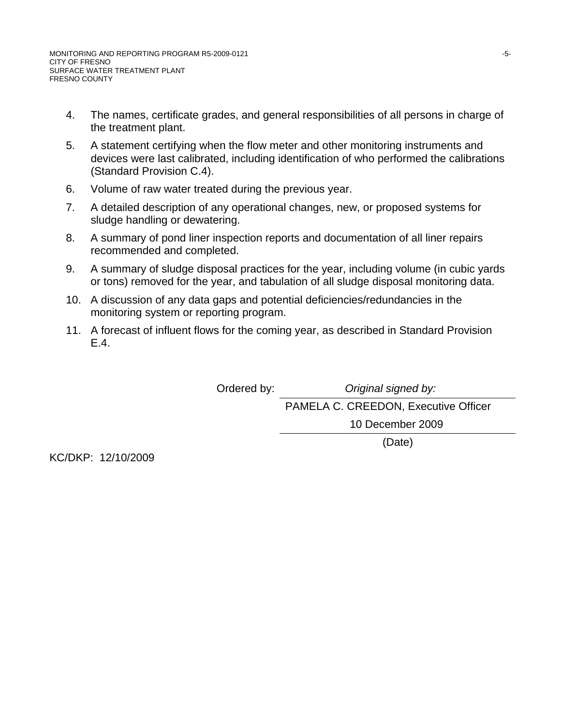- 4. The names, certificate grades, and general responsibilities of all persons in charge of the treatment plant.
- 5. A statement certifying when the flow meter and other monitoring instruments and devices were last calibrated, including identification of who performed the calibrations (Standard Provision C.4).
- 6. Volume of raw water treated during the previous year.
- 7. A detailed description of any operational changes, new, or proposed systems for sludge handling or dewatering.
- 8. A summary of pond liner inspection reports and documentation of all liner repairs recommended and completed.
- 9. A summary of sludge disposal practices for the year, including volume (in cubic yards or tons) removed for the year, and tabulation of all sludge disposal monitoring data.
- 10. A discussion of any data gaps and potential deficiencies/redundancies in the monitoring system or reporting program.
- 11. A forecast of influent flows for the coming year, as described in Standard Provision E.4.

Ordered by: *Original signed by:* 

PAMELA C. CREEDON, Executive Officer 10 December 2009

(Date)

KC/DKP: 12/10/2009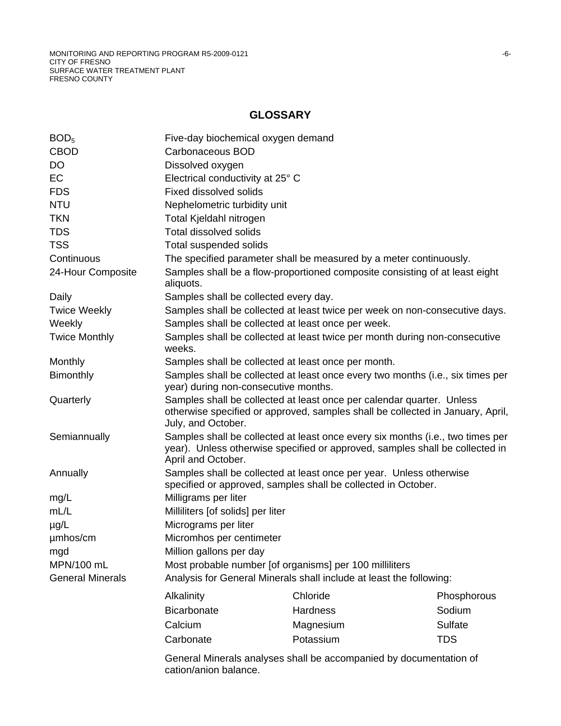## **GLOSSARY**

| BOD <sub>5</sub>        | Five-day biochemical oxygen demand                                                                                                                                                   |                                                                             |             |  |
|-------------------------|--------------------------------------------------------------------------------------------------------------------------------------------------------------------------------------|-----------------------------------------------------------------------------|-------------|--|
| <b>CBOD</b>             | Carbonaceous BOD                                                                                                                                                                     |                                                                             |             |  |
| DO                      | Dissolved oxygen                                                                                                                                                                     |                                                                             |             |  |
| <b>EC</b>               | Electrical conductivity at 25° C                                                                                                                                                     |                                                                             |             |  |
| <b>FDS</b>              | <b>Fixed dissolved solids</b>                                                                                                                                                        |                                                                             |             |  |
| <b>NTU</b>              | Nephelometric turbidity unit                                                                                                                                                         |                                                                             |             |  |
| <b>TKN</b>              | Total Kjeldahl nitrogen                                                                                                                                                              |                                                                             |             |  |
| <b>TDS</b>              | <b>Total dissolved solids</b>                                                                                                                                                        |                                                                             |             |  |
| <b>TSS</b>              | Total suspended solids                                                                                                                                                               |                                                                             |             |  |
| Continuous              |                                                                                                                                                                                      | The specified parameter shall be measured by a meter continuously.          |             |  |
| 24-Hour Composite       | aliquots.                                                                                                                                                                            | Samples shall be a flow-proportioned composite consisting of at least eight |             |  |
| Daily                   | Samples shall be collected every day.                                                                                                                                                |                                                                             |             |  |
| <b>Twice Weekly</b>     |                                                                                                                                                                                      | Samples shall be collected at least twice per week on non-consecutive days. |             |  |
| Weekly                  |                                                                                                                                                                                      | Samples shall be collected at least once per week.                          |             |  |
| <b>Twice Monthly</b>    | Samples shall be collected at least twice per month during non-consecutive<br>weeks.                                                                                                 |                                                                             |             |  |
| Monthly                 | Samples shall be collected at least once per month.                                                                                                                                  |                                                                             |             |  |
| Bimonthly               | Samples shall be collected at least once every two months (i.e., six times per<br>year) during non-consecutive months.                                                               |                                                                             |             |  |
| Quarterly               | Samples shall be collected at least once per calendar quarter. Unless<br>otherwise specified or approved, samples shall be collected in January, April,<br>July, and October.        |                                                                             |             |  |
| Semiannually            | Samples shall be collected at least once every six months (i.e., two times per<br>year). Unless otherwise specified or approved, samples shall be collected in<br>April and October. |                                                                             |             |  |
| Annually                | Samples shall be collected at least once per year. Unless otherwise<br>specified or approved, samples shall be collected in October.                                                 |                                                                             |             |  |
| mg/L                    | Milligrams per liter                                                                                                                                                                 |                                                                             |             |  |
| mL/L                    | Milliliters [of solids] per liter                                                                                                                                                    |                                                                             |             |  |
| $\mu$ g/L               | Micrograms per liter                                                                                                                                                                 |                                                                             |             |  |
| umhos/cm                | Micromhos per centimeter                                                                                                                                                             |                                                                             |             |  |
| mgd                     | Million gallons per day                                                                                                                                                              |                                                                             |             |  |
| MPN/100 mL              | Most probable number [of organisms] per 100 milliliters                                                                                                                              |                                                                             |             |  |
| <b>General Minerals</b> | Analysis for General Minerals shall include at least the following:                                                                                                                  |                                                                             |             |  |
|                         | Alkalinity                                                                                                                                                                           | Chloride                                                                    | Phosphorous |  |
|                         | <b>Bicarbonate</b>                                                                                                                                                                   | <b>Hardness</b>                                                             | Sodium      |  |
|                         | Calcium                                                                                                                                                                              | Magnesium                                                                   | Sulfate     |  |
|                         | Carbonate                                                                                                                                                                            | Potassium                                                                   | <b>TDS</b>  |  |
|                         |                                                                                                                                                                                      |                                                                             |             |  |
|                         | General Minerals analyses shall be accompanied by documentation of<br>cation/anion balance.                                                                                          |                                                                             |             |  |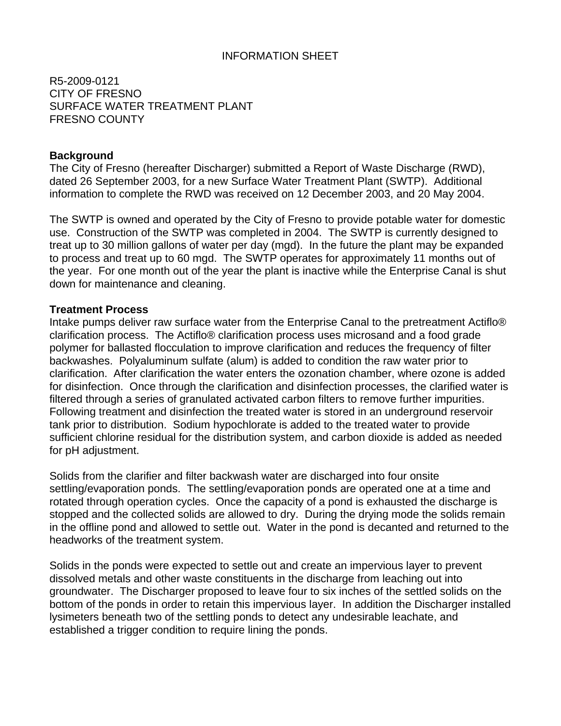### INFORMATION SHEET

R5-2009-0121 CITY OF FRESNO SURFACE WATER TREATMENT PLANT FRESNO COUNTY

#### **Background**

The City of Fresno (hereafter Discharger) submitted a Report of Waste Discharge (RWD), dated 26 September 2003, for a new Surface Water Treatment Plant (SWTP). Additional information to complete the RWD was received on 12 December 2003, and 20 May 2004.

The SWTP is owned and operated by the City of Fresno to provide potable water for domestic use. Construction of the SWTP was completed in 2004. The SWTP is currently designed to treat up to 30 million gallons of water per day (mgd). In the future the plant may be expanded to process and treat up to 60 mgd. The SWTP operates for approximately 11 months out of the year. For one month out of the year the plant is inactive while the Enterprise Canal is shut down for maintenance and cleaning.

#### **Treatment Process**

Intake pumps deliver raw surface water from the Enterprise Canal to the pretreatment Actiflo® clarification process. The Actiflo® clarification process uses microsand and a food grade polymer for ballasted flocculation to improve clarification and reduces the frequency of filter backwashes. Polyaluminum sulfate (alum) is added to condition the raw water prior to clarification. After clarification the water enters the ozonation chamber, where ozone is added for disinfection. Once through the clarification and disinfection processes, the clarified water is filtered through a series of granulated activated carbon filters to remove further impurities. Following treatment and disinfection the treated water is stored in an underground reservoir tank prior to distribution. Sodium hypochlorate is added to the treated water to provide sufficient chlorine residual for the distribution system, and carbon dioxide is added as needed for pH adjustment.

Solids from the clarifier and filter backwash water are discharged into four onsite settling/evaporation ponds. The settling/evaporation ponds are operated one at a time and rotated through operation cycles. Once the capacity of a pond is exhausted the discharge is stopped and the collected solids are allowed to dry. During the drying mode the solids remain in the offline pond and allowed to settle out. Water in the pond is decanted and returned to the headworks of the treatment system.

Solids in the ponds were expected to settle out and create an impervious layer to prevent dissolved metals and other waste constituents in the discharge from leaching out into groundwater. The Discharger proposed to leave four to six inches of the settled solids on the bottom of the ponds in order to retain this impervious layer. In addition the Discharger installed lysimeters beneath two of the settling ponds to detect any undesirable leachate, and established a trigger condition to require lining the ponds.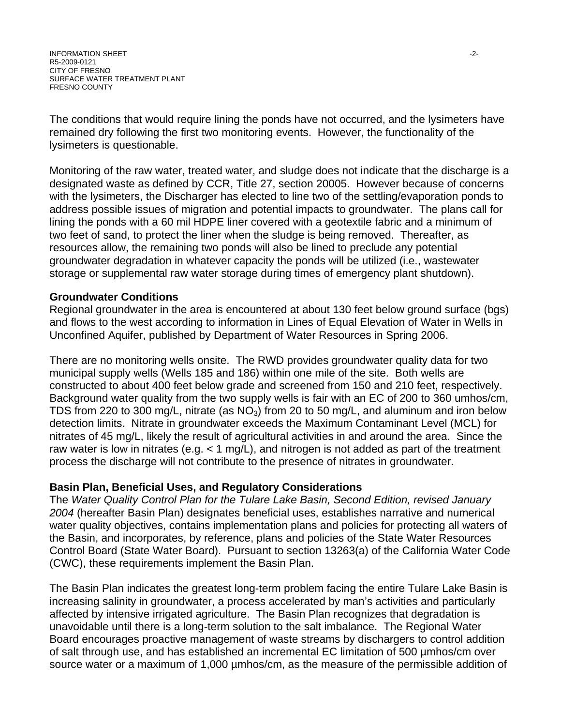INFORMATION SHEET -2- R5-2009-0121 CITY OF FRESNO SURFACE WATER TREATMENT PLANT FRESNO COUNTY

The conditions that would require lining the ponds have not occurred, and the lysimeters have remained dry following the first two monitoring events. However, the functionality of the lysimeters is questionable.

Monitoring of the raw water, treated water, and sludge does not indicate that the discharge is a designated waste as defined by CCR, Title 27, section 20005. However because of concerns with the lysimeters, the Discharger has elected to line two of the settling/evaporation ponds to address possible issues of migration and potential impacts to groundwater. The plans call for lining the ponds with a 60 mil HDPE liner covered with a geotextile fabric and a minimum of two feet of sand, to protect the liner when the sludge is being removed. Thereafter, as resources allow, the remaining two ponds will also be lined to preclude any potential groundwater degradation in whatever capacity the ponds will be utilized (i.e., wastewater storage or supplemental raw water storage during times of emergency plant shutdown).

#### **Groundwater Conditions**

Regional groundwater in the area is encountered at about 130 feet below ground surface (bgs) and flows to the west according to information in Lines of Equal Elevation of Water in Wells in Unconfined Aquifer, published by Department of Water Resources in Spring 2006.

There are no monitoring wells onsite. The RWD provides groundwater quality data for two municipal supply wells (Wells 185 and 186) within one mile of the site. Both wells are constructed to about 400 feet below grade and screened from 150 and 210 feet, respectively. Background water quality from the two supply wells is fair with an EC of 200 to 360 umhos/cm, TDS from 220 to 300 mg/L, nitrate (as  $NO<sub>3</sub>$ ) from 20 to 50 mg/L, and aluminum and iron below detection limits. Nitrate in groundwater exceeds the Maximum Contaminant Level (MCL) for nitrates of 45 mg/L, likely the result of agricultural activities in and around the area. Since the raw water is low in nitrates (e.g.  $<$  1 mg/L), and nitrogen is not added as part of the treatment process the discharge will not contribute to the presence of nitrates in groundwater.

#### **Basin Plan, Beneficial Uses, and Regulatory Considerations**

The *Water Quality Control Plan for the Tulare Lake Basin, Second Edition, revised January 2004* (hereafter Basin Plan) designates beneficial uses, establishes narrative and numerical water quality objectives, contains implementation plans and policies for protecting all waters of the Basin, and incorporates, by reference, plans and policies of the State Water Resources Control Board (State Water Board). Pursuant to section 13263(a) of the California Water Code (CWC), these requirements implement the Basin Plan.

The Basin Plan indicates the greatest long-term problem facing the entire Tulare Lake Basin is increasing salinity in groundwater, a process accelerated by man's activities and particularly affected by intensive irrigated agriculture. The Basin Plan recognizes that degradation is unavoidable until there is a long-term solution to the salt imbalance. The Regional Water Board encourages proactive management of waste streams by dischargers to control addition of salt through use, and has established an incremental EC limitation of 500 µmhos/cm over source water or a maximum of 1,000 µmhos/cm, as the measure of the permissible addition of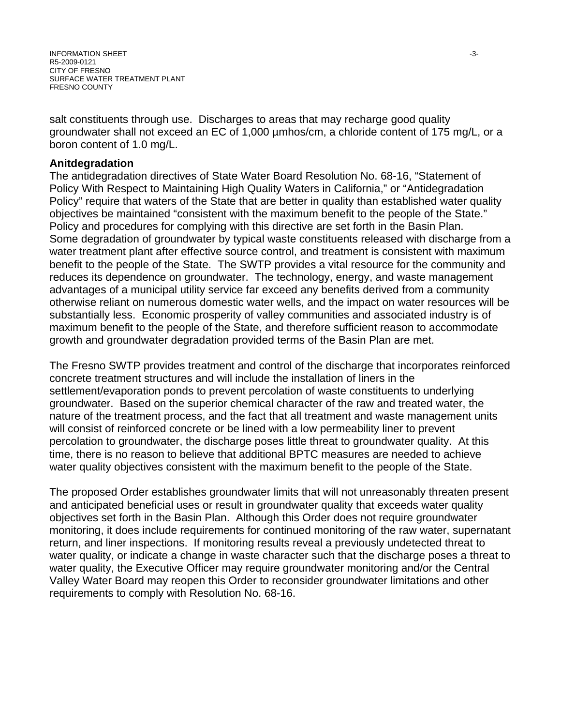INFORMATION SHEET A SANDONIAL SERVICE SERVICE SERVICE SERVICE SERVICE SERVICE SERVICE SERVICE SERVICE SERVICE S R5-2009-0121 CITY OF FRESNO SURFACE WATER TREATMENT PLANT FRESNO COUNTY

salt constituents through use. Discharges to areas that may recharge good quality groundwater shall not exceed an EC of 1,000 µmhos/cm, a chloride content of 175 mg/L, or a boron content of 1.0 mg/L.

#### **Anitdegradation**

The antidegradation directives of State Water Board Resolution No. 68-16, "Statement of Policy With Respect to Maintaining High Quality Waters in California," or "Antidegradation Policy" require that waters of the State that are better in quality than established water quality objectives be maintained "consistent with the maximum benefit to the people of the State." Policy and procedures for complying with this directive are set forth in the Basin Plan. Some degradation of groundwater by typical waste constituents released with discharge from a water treatment plant after effective source control, and treatment is consistent with maximum benefit to the people of the State. The SWTP provides a vital resource for the community and reduces its dependence on groundwater. The technology, energy, and waste management advantages of a municipal utility service far exceed any benefits derived from a community otherwise reliant on numerous domestic water wells, and the impact on water resources will be substantially less. Economic prosperity of valley communities and associated industry is of maximum benefit to the people of the State, and therefore sufficient reason to accommodate growth and groundwater degradation provided terms of the Basin Plan are met.

The Fresno SWTP provides treatment and control of the discharge that incorporates reinforced concrete treatment structures and will include the installation of liners in the settlement/evaporation ponds to prevent percolation of waste constituents to underlying groundwater. Based on the superior chemical character of the raw and treated water, the nature of the treatment process, and the fact that all treatment and waste management units will consist of reinforced concrete or be lined with a low permeability liner to prevent percolation to groundwater, the discharge poses little threat to groundwater quality. At this time, there is no reason to believe that additional BPTC measures are needed to achieve water quality objectives consistent with the maximum benefit to the people of the State.

The proposed Order establishes groundwater limits that will not unreasonably threaten present and anticipated beneficial uses or result in groundwater quality that exceeds water quality objectives set forth in the Basin Plan. Although this Order does not require groundwater monitoring, it does include requirements for continued monitoring of the raw water, supernatant return, and liner inspections. If monitoring results reveal a previously undetected threat to water quality, or indicate a change in waste character such that the discharge poses a threat to water quality, the Executive Officer may require groundwater monitoring and/or the Central Valley Water Board may reopen this Order to reconsider groundwater limitations and other requirements to comply with Resolution No. 68-16.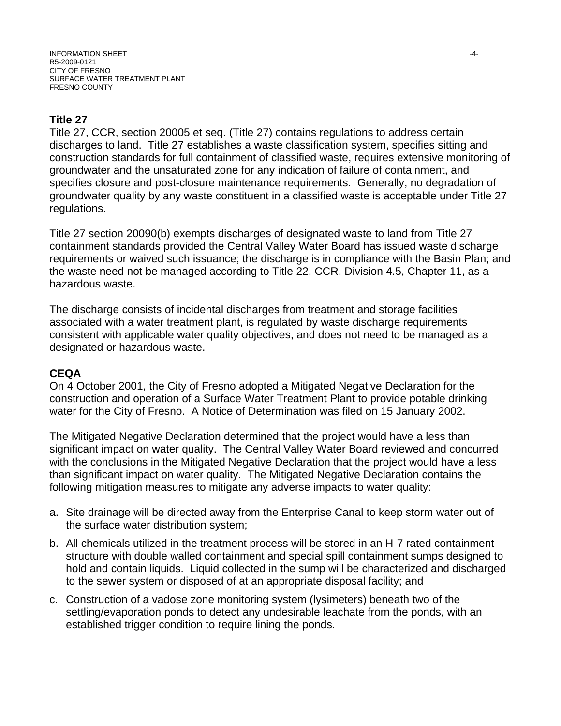# **Title 27**

Title 27, CCR, section 20005 et seq. (Title 27) contains regulations to address certain discharges to land. Title 27 establishes a waste classification system, specifies sitting and construction standards for full containment of classified waste, requires extensive monitoring of groundwater and the unsaturated zone for any indication of failure of containment, and specifies closure and post-closure maintenance requirements. Generally, no degradation of groundwater quality by any waste constituent in a classified waste is acceptable under Title 27 regulations.

Title 27 section 20090(b) exempts discharges of designated waste to land from Title 27 containment standards provided the Central Valley Water Board has issued waste discharge requirements or waived such issuance; the discharge is in compliance with the Basin Plan; and the waste need not be managed according to Title 22, CCR, Division 4.5, Chapter 11, as a hazardous waste.

The discharge consists of incidental discharges from treatment and storage facilities associated with a water treatment plant, is regulated by waste discharge requirements consistent with applicable water quality objectives, and does not need to be managed as a designated or hazardous waste.

## **CEQA**

On 4 October 2001, the City of Fresno adopted a Mitigated Negative Declaration for the construction and operation of a Surface Water Treatment Plant to provide potable drinking water for the City of Fresno. A Notice of Determination was filed on 15 January 2002.

The Mitigated Negative Declaration determined that the project would have a less than significant impact on water quality. The Central Valley Water Board reviewed and concurred with the conclusions in the Mitigated Negative Declaration that the project would have a less than significant impact on water quality. The Mitigated Negative Declaration contains the following mitigation measures to mitigate any adverse impacts to water quality:

- a. Site drainage will be directed away from the Enterprise Canal to keep storm water out of the surface water distribution system;
- b. All chemicals utilized in the treatment process will be stored in an H-7 rated containment structure with double walled containment and special spill containment sumps designed to hold and contain liquids. Liquid collected in the sump will be characterized and discharged to the sewer system or disposed of at an appropriate disposal facility; and
- c. Construction of a vadose zone monitoring system (lysimeters) beneath two of the settling/evaporation ponds to detect any undesirable leachate from the ponds, with an established trigger condition to require lining the ponds.